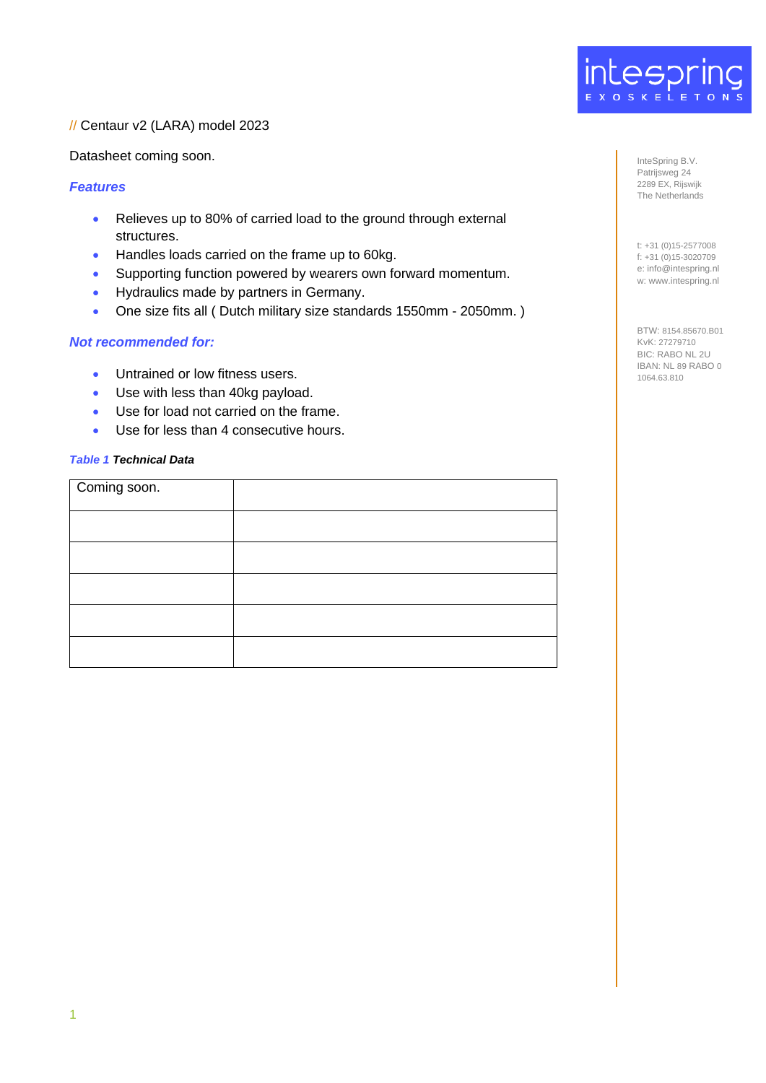

## // Centaur v2 (LARA) model 2023

Datasheet coming soon.

## *Features*

- Relieves up to 80% of carried load to the ground through external structures.
- Handles loads carried on the frame up to 60kg.
- Supporting function powered by wearers own forward momentum.
- Hydraulics made by partners in Germany.
- One size fits all ( Dutch military size standards 1550mm 2050mm. )

## *Not recommended for:*

- Untrained or low fitness users.
- Use with less than 40kg payload.
- Use for load not carried on the frame.
- Use for less than 4 consecutive hours.

## *Table 1 Technical Data*

| Coming soon. |  |
|--------------|--|
|              |  |
|              |  |
|              |  |
|              |  |
|              |  |

InteSpring B.V. Patrijsweg 24 2289 EX, Rijswijk The Netherlands

t: +31 (0)15-2577008 f: +31 (0)15-3020709 e: info@intespring.nl w: www.intespring.nl

BTW: 8154.85670.B01 KvK: 27279710 BIC: RABO NL 2U IBAN: NL 89 RABO 0 1064.63.810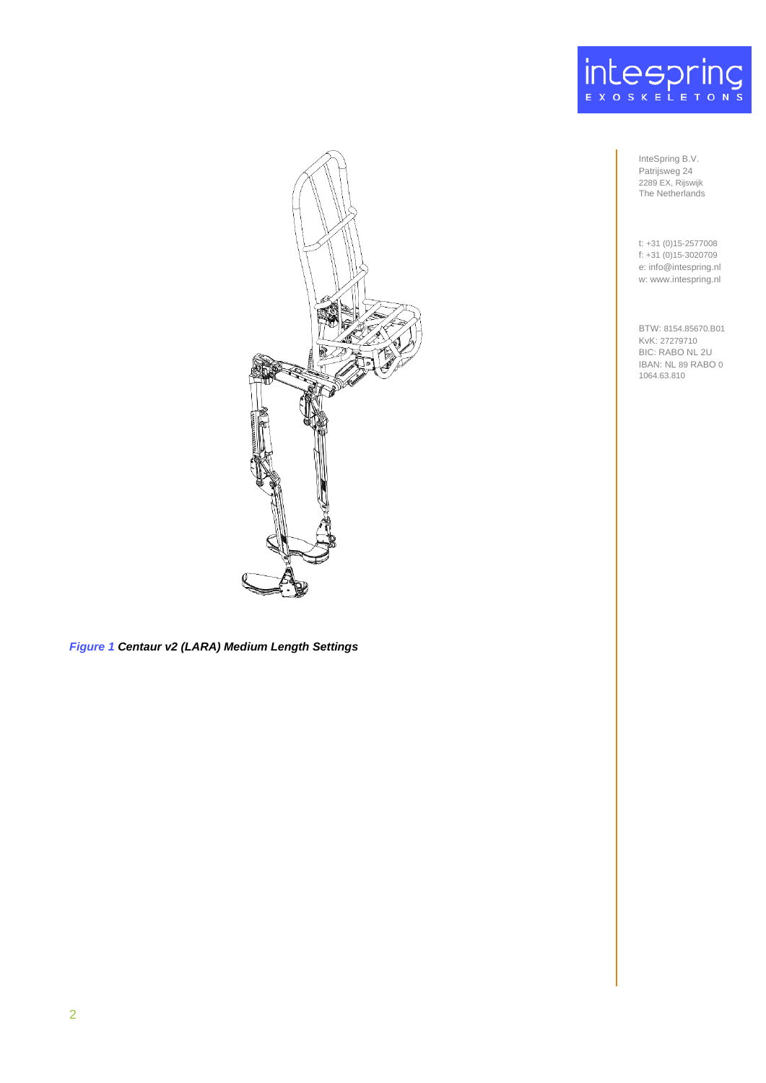

InteSpring B.V. Patrijsweg 24 2289 EX, Rijswijk The Netherlands

t: +31 (0)15-2577008 f: +31 (0)15-3020709 e: info@intespring.nl w: www.intespring.nl

BTW: 8154.85670.B01 KvK: 27279710 BIC: RABO NL 2U IBAN: NL 89 RABO 0 1064.63.810



*Figure 1 Centaur v2 (LARA) Medium Length Settings*